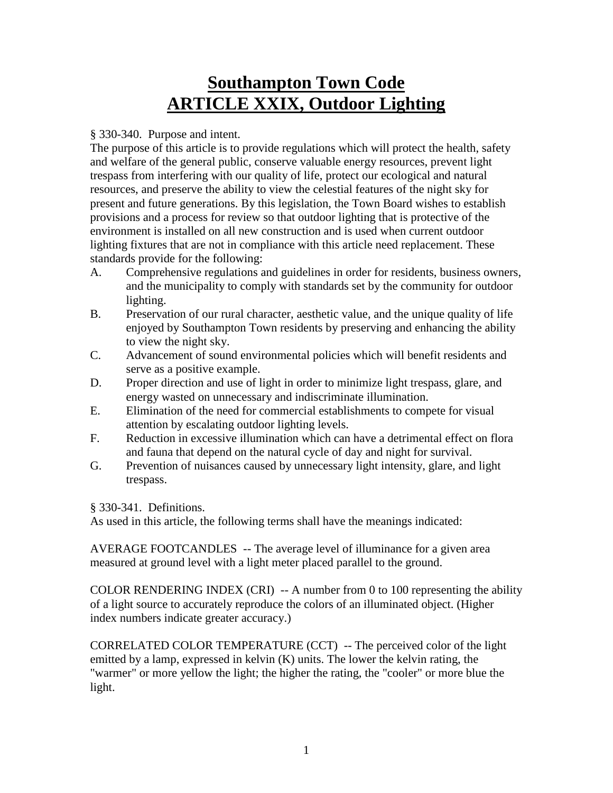# **Southampton Town Code ARTICLE XXIX, Outdoor Lighting**

#### § 330-340. Purpose and intent.

The purpose of this article is to provide regulations which will protect the health, safety and welfare of the general public, conserve valuable energy resources, prevent light trespass from interfering with our quality of life, protect our ecological and natural resources, and preserve the ability to view the celestial features of the night sky for present and future generations. By this legislation, the Town Board wishes to establish provisions and a process for review so that outdoor lighting that is protective of the environment is installed on all new construction and is used when current outdoor lighting fixtures that are not in compliance with this article need replacement. These standards provide for the following:

- A. Comprehensive regulations and guidelines in order for residents, business owners, and the municipality to comply with standards set by the community for outdoor lighting.
- B. Preservation of our rural character, aesthetic value, and the unique quality of life enjoyed by Southampton Town residents by preserving and enhancing the ability to view the night sky.
- C. Advancement of sound environmental policies which will benefit residents and serve as a positive example.
- D. Proper direction and use of light in order to minimize light trespass, glare, and energy wasted on unnecessary and indiscriminate illumination.
- E. Elimination of the need for commercial establishments to compete for visual attention by escalating outdoor lighting levels.
- F. Reduction in excessive illumination which can have a detrimental effect on flora and fauna that depend on the natural cycle of day and night for survival.
- G. Prevention of nuisances caused by unnecessary light intensity, glare, and light trespass.

§ 330-341. Definitions.

As used in this article, the following terms shall have the meanings indicated:

AVERAGE FOOTCANDLES -- The average level of illuminance for a given area measured at ground level with a light meter placed parallel to the ground.

COLOR RENDERING INDEX (CRI)  $-$  A number from 0 to 100 representing the ability of a light source to accurately reproduce the colors of an illuminated object. (Higher index numbers indicate greater accuracy.)

CORRELATED COLOR TEMPERATURE (CCT) -- The perceived color of the light emitted by a lamp, expressed in kelvin (K) units. The lower the kelvin rating, the "warmer" or more yellow the light; the higher the rating, the "cooler" or more blue the light.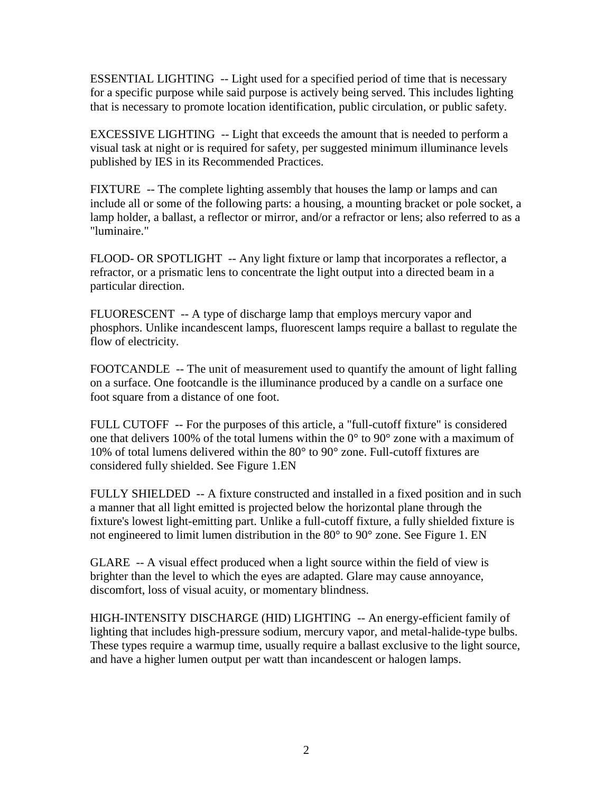ESSENTIAL LIGHTING -- Light used for a specified period of time that is necessary for a specific purpose while said purpose is actively being served. This includes lighting that is necessary to promote location identification, public circulation, or public safety.

EXCESSIVE LIGHTING -- Light that exceeds the amount that is needed to perform a visual task at night or is required for safety, per suggested minimum illuminance levels published by IES in its Recommended Practices.

FIXTURE -- The complete lighting assembly that houses the lamp or lamps and can include all or some of the following parts: a housing, a mounting bracket or pole socket, a lamp holder, a ballast, a reflector or mirror, and/or a refractor or lens; also referred to as a "luminaire."

FLOOD- OR SPOTLIGHT -- Any light fixture or lamp that incorporates a reflector, a refractor, or a prismatic lens to concentrate the light output into a directed beam in a particular direction.

FLUORESCENT -- A type of discharge lamp that employs mercury vapor and phosphors. Unlike incandescent lamps, fluorescent lamps require a ballast to regulate the flow of electricity.

FOOTCANDLE -- The unit of measurement used to quantify the amount of light falling on a surface. One footcandle is the illuminance produced by a candle on a surface one foot square from a distance of one foot.

FULL CUTOFF -- For the purposes of this article, a "full-cutoff fixture" is considered one that delivers 100% of the total lumens within the  $0^{\circ}$  to 90 $^{\circ}$  zone with a maximum of 10% of total lumens delivered within the 80° to 90° zone. Full-cutoff fixtures are considered fully shielded. See Figure 1.EN

FULLY SHIELDED -- A fixture constructed and installed in a fixed position and in such a manner that all light emitted is projected below the horizontal plane through the fixture's lowest light-emitting part. Unlike a full-cutoff fixture, a fully shielded fixture is not engineered to limit lumen distribution in the 80° to 90° zone. See Figure 1. EN

GLARE -- A visual effect produced when a light source within the field of view is brighter than the level to which the eyes are adapted. Glare may cause annoyance, discomfort, loss of visual acuity, or momentary blindness.

HIGH-INTENSITY DISCHARGE (HID) LIGHTING -- An energy-efficient family of lighting that includes high-pressure sodium, mercury vapor, and metal-halide-type bulbs. These types require a warmup time, usually require a ballast exclusive to the light source, and have a higher lumen output per watt than incandescent or halogen lamps.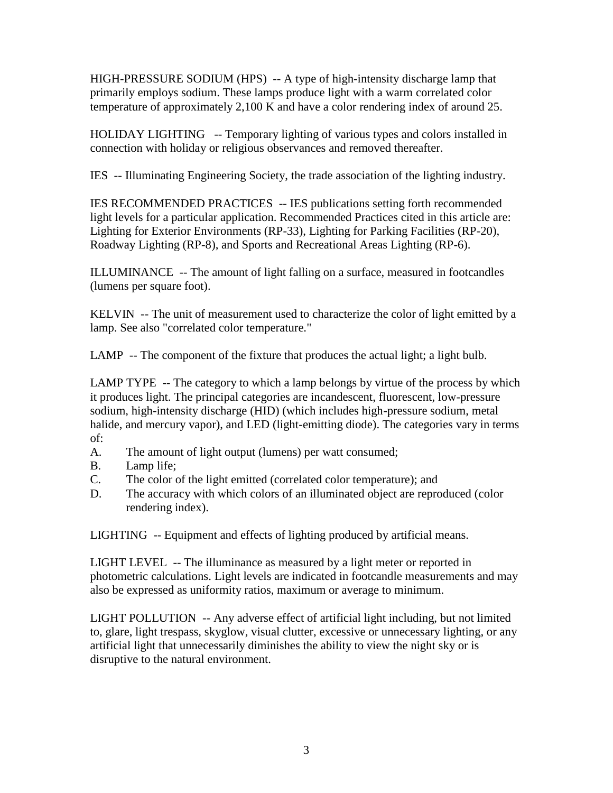HIGH-PRESSURE SODIUM (HPS) -- A type of high-intensity discharge lamp that primarily employs sodium. These lamps produce light with a warm correlated color temperature of approximately 2,100 K and have a color rendering index of around 25.

HOLIDAY LIGHTING -- Temporary lighting of various types and colors installed in connection with holiday or religious observances and removed thereafter.

IES -- Illuminating Engineering Society, the trade association of the lighting industry.

IES RECOMMENDED PRACTICES -- IES publications setting forth recommended light levels for a particular application. Recommended Practices cited in this article are: Lighting for Exterior Environments (RP-33), Lighting for Parking Facilities (RP-20), Roadway Lighting (RP-8), and Sports and Recreational Areas Lighting (RP-6).

ILLUMINANCE -- The amount of light falling on a surface, measured in footcandles (lumens per square foot).

KELVIN -- The unit of measurement used to characterize the color of light emitted by a lamp. See also "correlated color temperature."

LAMP -- The component of the fixture that produces the actual light; a light bulb.

LAMP TYPE -- The category to which a lamp belongs by virtue of the process by which it produces light. The principal categories are incandescent, fluorescent, low-pressure sodium, high-intensity discharge (HID) (which includes high-pressure sodium, metal halide, and mercury vapor), and LED (light-emitting diode). The categories vary in terms of:

- A. The amount of light output (lumens) per watt consumed;
- B. Lamp life;
- C. The color of the light emitted (correlated color temperature); and
- D. The accuracy with which colors of an illuminated object are reproduced (color rendering index).

LIGHTING -- Equipment and effects of lighting produced by artificial means.

LIGHT LEVEL -- The illuminance as measured by a light meter or reported in photometric calculations. Light levels are indicated in footcandle measurements and may also be expressed as uniformity ratios, maximum or average to minimum.

LIGHT POLLUTION -- Any adverse effect of artificial light including, but not limited to, glare, light trespass, skyglow, visual clutter, excessive or unnecessary lighting, or any artificial light that unnecessarily diminishes the ability to view the night sky or is disruptive to the natural environment.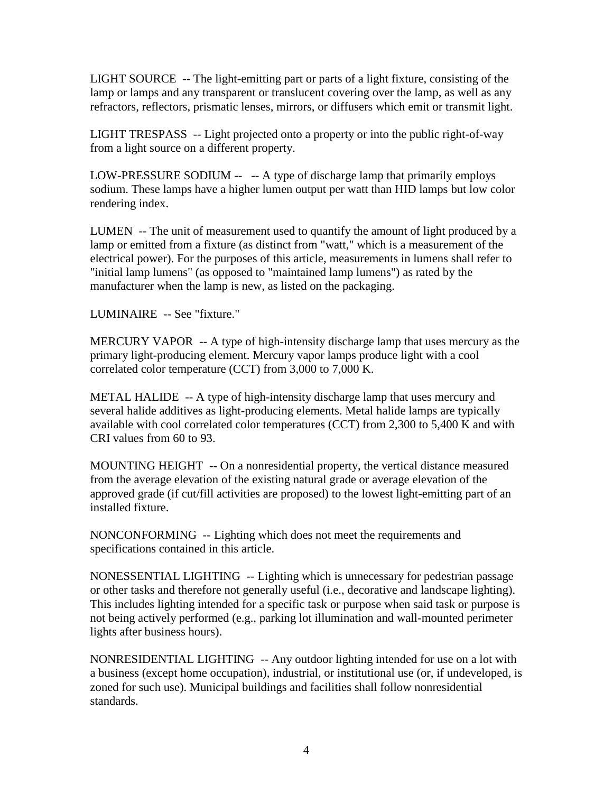LIGHT SOURCE -- The light-emitting part or parts of a light fixture, consisting of the lamp or lamps and any transparent or translucent covering over the lamp, as well as any refractors, reflectors, prismatic lenses, mirrors, or diffusers which emit or transmit light.

LIGHT TRESPASS -- Light projected onto a property or into the public right-of-way from a light source on a different property.

LOW-PRESSURE SODIUM -- -- A type of discharge lamp that primarily employs sodium. These lamps have a higher lumen output per watt than HID lamps but low color rendering index.

LUMEN -- The unit of measurement used to quantify the amount of light produced by a lamp or emitted from a fixture (as distinct from "watt," which is a measurement of the electrical power). For the purposes of this article, measurements in lumens shall refer to "initial lamp lumens" (as opposed to "maintained lamp lumens") as rated by the manufacturer when the lamp is new, as listed on the packaging.

LUMINAIRE -- See "fixture."

MERCURY VAPOR -- A type of high-intensity discharge lamp that uses mercury as the primary light-producing element. Mercury vapor lamps produce light with a cool correlated color temperature (CCT) from 3,000 to 7,000 K.

METAL HALIDE -- A type of high-intensity discharge lamp that uses mercury and several halide additives as light-producing elements. Metal halide lamps are typically available with cool correlated color temperatures (CCT) from 2,300 to 5,400 K and with CRI values from 60 to 93.

MOUNTING HEIGHT -- On a nonresidential property, the vertical distance measured from the average elevation of the existing natural grade or average elevation of the approved grade (if cut/fill activities are proposed) to the lowest light-emitting part of an installed fixture.

NONCONFORMING -- Lighting which does not meet the requirements and specifications contained in this article.

NONESSENTIAL LIGHTING -- Lighting which is unnecessary for pedestrian passage or other tasks and therefore not generally useful (i.e., decorative and landscape lighting). This includes lighting intended for a specific task or purpose when said task or purpose is not being actively performed (e.g., parking lot illumination and wall-mounted perimeter lights after business hours).

NONRESIDENTIAL LIGHTING -- Any outdoor lighting intended for use on a lot with a business (except home occupation), industrial, or institutional use (or, if undeveloped, is zoned for such use). Municipal buildings and facilities shall follow nonresidential standards.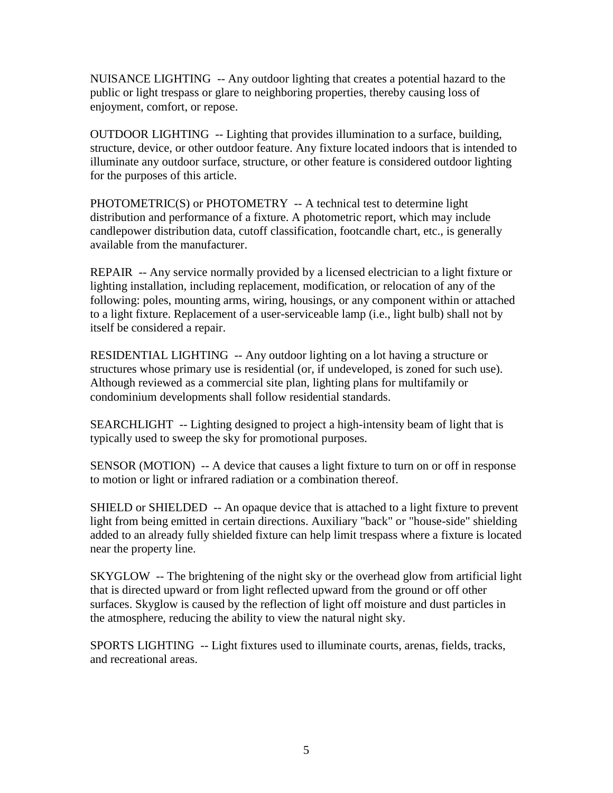NUISANCE LIGHTING -- Any outdoor lighting that creates a potential hazard to the public or light trespass or glare to neighboring properties, thereby causing loss of enjoyment, comfort, or repose.

OUTDOOR LIGHTING -- Lighting that provides illumination to a surface, building, structure, device, or other outdoor feature. Any fixture located indoors that is intended to illuminate any outdoor surface, structure, or other feature is considered outdoor lighting for the purposes of this article.

PHOTOMETRIC(S) or PHOTOMETRY -- A technical test to determine light distribution and performance of a fixture. A photometric report, which may include candlepower distribution data, cutoff classification, footcandle chart, etc., is generally available from the manufacturer.

REPAIR -- Any service normally provided by a licensed electrician to a light fixture or lighting installation, including replacement, modification, or relocation of any of the following: poles, mounting arms, wiring, housings, or any component within or attached to a light fixture. Replacement of a user-serviceable lamp (i.e., light bulb) shall not by itself be considered a repair.

RESIDENTIAL LIGHTING -- Any outdoor lighting on a lot having a structure or structures whose primary use is residential (or, if undeveloped, is zoned for such use). Although reviewed as a commercial site plan, lighting plans for multifamily or condominium developments shall follow residential standards.

SEARCHLIGHT -- Lighting designed to project a high-intensity beam of light that is typically used to sweep the sky for promotional purposes.

SENSOR (MOTION) -- A device that causes a light fixture to turn on or off in response to motion or light or infrared radiation or a combination thereof.

SHIELD or SHIELDED -- An opaque device that is attached to a light fixture to prevent light from being emitted in certain directions. Auxiliary "back" or "house-side" shielding added to an already fully shielded fixture can help limit trespass where a fixture is located near the property line.

SKYGLOW -- The brightening of the night sky or the overhead glow from artificial light that is directed upward or from light reflected upward from the ground or off other surfaces. Skyglow is caused by the reflection of light off moisture and dust particles in the atmosphere, reducing the ability to view the natural night sky.

SPORTS LIGHTING -- Light fixtures used to illuminate courts, arenas, fields, tracks, and recreational areas.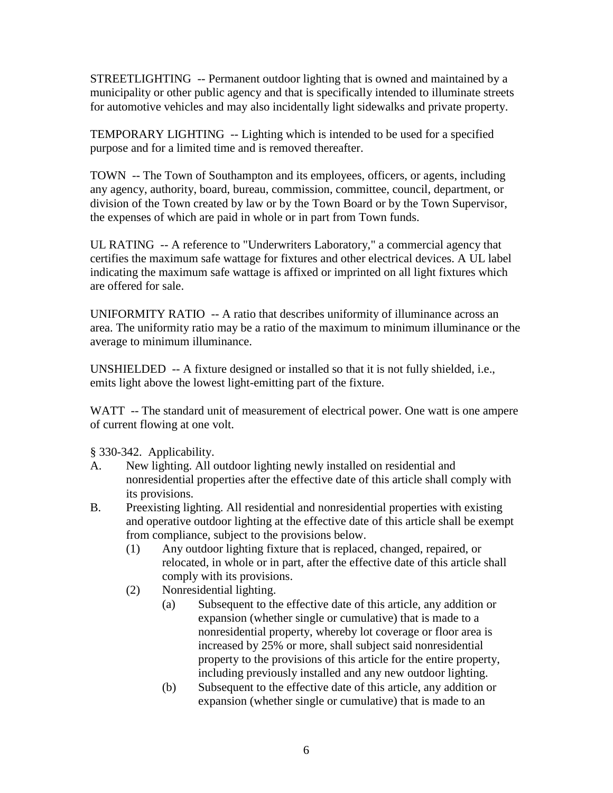STREETLIGHTING -- Permanent outdoor lighting that is owned and maintained by a municipality or other public agency and that is specifically intended to illuminate streets for automotive vehicles and may also incidentally light sidewalks and private property.

TEMPORARY LIGHTING -- Lighting which is intended to be used for a specified purpose and for a limited time and is removed thereafter.

TOWN -- The Town of Southampton and its employees, officers, or agents, including any agency, authority, board, bureau, commission, committee, council, department, or division of the Town created by law or by the Town Board or by the Town Supervisor, the expenses of which are paid in whole or in part from Town funds.

UL RATING -- A reference to "Underwriters Laboratory," a commercial agency that certifies the maximum safe wattage for fixtures and other electrical devices. A UL label indicating the maximum safe wattage is affixed or imprinted on all light fixtures which are offered for sale.

UNIFORMITY RATIO -- A ratio that describes uniformity of illuminance across an area. The uniformity ratio may be a ratio of the maximum to minimum illuminance or the average to minimum illuminance.

UNSHIELDED -- A fixture designed or installed so that it is not fully shielded, i.e., emits light above the lowest light-emitting part of the fixture.

WATT -- The standard unit of measurement of electrical power. One watt is one ampere of current flowing at one volt.

§ 330-342. Applicability.

- A. New lighting. All outdoor lighting newly installed on residential and nonresidential properties after the effective date of this article shall comply with its provisions.
- B. Preexisting lighting. All residential and nonresidential properties with existing and operative outdoor lighting at the effective date of this article shall be exempt from compliance, subject to the provisions below.
	- (1) Any outdoor lighting fixture that is replaced, changed, repaired, or relocated, in whole or in part, after the effective date of this article shall comply with its provisions.
	- (2) Nonresidential lighting.
		- (a) Subsequent to the effective date of this article, any addition or expansion (whether single or cumulative) that is made to a nonresidential property, whereby lot coverage or floor area is increased by 25% or more, shall subject said nonresidential property to the provisions of this article for the entire property, including previously installed and any new outdoor lighting.
		- (b) Subsequent to the effective date of this article, any addition or expansion (whether single or cumulative) that is made to an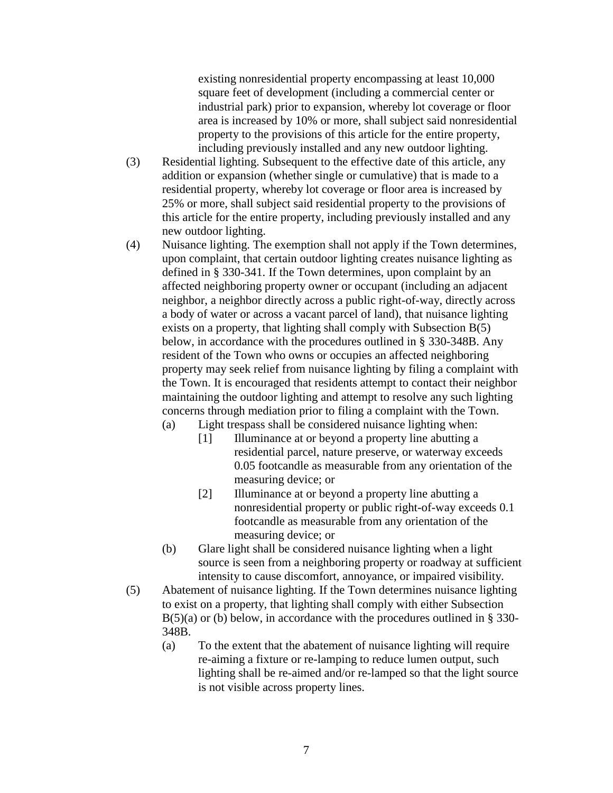existing nonresidential property encompassing at least 10,000 square feet of development (including a commercial center or industrial park) prior to expansion, whereby lot coverage or floor area is increased by 10% or more, shall subject said nonresidential property to the provisions of this article for the entire property, including previously installed and any new outdoor lighting.

- (3) Residential lighting. Subsequent to the effective date of this article, any addition or expansion (whether single or cumulative) that is made to a residential property, whereby lot coverage or floor area is increased by 25% or more, shall subject said residential property to the provisions of this article for the entire property, including previously installed and any new outdoor lighting.
- (4) Nuisance lighting. The exemption shall not apply if the Town determines, upon complaint, that certain outdoor lighting creates nuisance lighting as defined in § 330-341. If the Town determines, upon complaint by an affected neighboring property owner or occupant (including an adjacent neighbor, a neighbor directly across a public right-of-way, directly across a body of water or across a vacant parcel of land), that nuisance lighting exists on a property, that lighting shall comply with Subsection B(5) below, in accordance with the procedures outlined in § 330-348B. Any resident of the Town who owns or occupies an affected neighboring property may seek relief from nuisance lighting by filing a complaint with the Town. It is encouraged that residents attempt to contact their neighbor maintaining the outdoor lighting and attempt to resolve any such lighting concerns through mediation prior to filing a complaint with the Town.
	- (a) Light trespass shall be considered nuisance lighting when:
		- [1] Illuminance at or beyond a property line abutting a residential parcel, nature preserve, or waterway exceeds 0.05 footcandle as measurable from any orientation of the measuring device; or
		- [2] Illuminance at or beyond a property line abutting a nonresidential property or public right-of-way exceeds 0.1 footcandle as measurable from any orientation of the measuring device; or
	- (b) Glare light shall be considered nuisance lighting when a light source is seen from a neighboring property or roadway at sufficient intensity to cause discomfort, annoyance, or impaired visibility.
- (5) Abatement of nuisance lighting. If the Town determines nuisance lighting to exist on a property, that lighting shall comply with either Subsection  $B(5)(a)$  or (b) below, in accordance with the procedures outlined in § 330-348B.
	- (a) To the extent that the abatement of nuisance lighting will require re-aiming a fixture or re-lamping to reduce lumen output, such lighting shall be re-aimed and/or re-lamped so that the light source is not visible across property lines.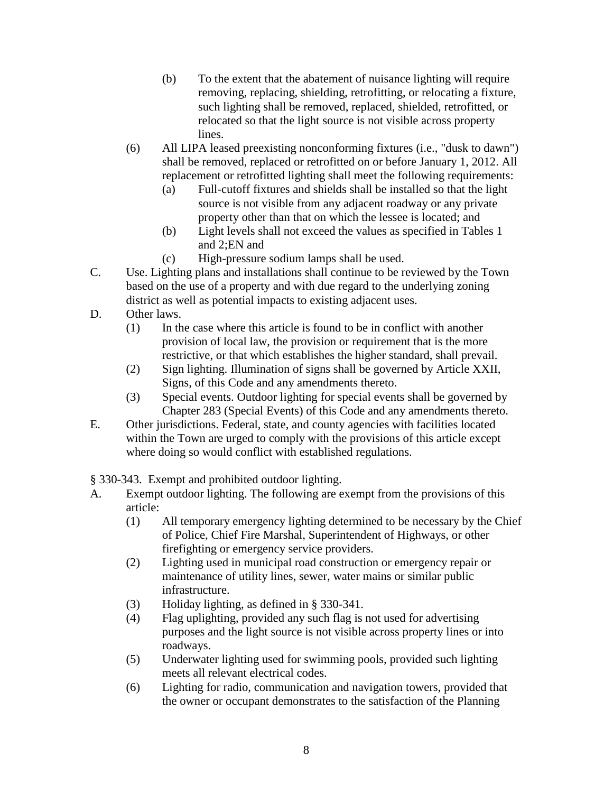- (b) To the extent that the abatement of nuisance lighting will require removing, replacing, shielding, retrofitting, or relocating a fixture, such lighting shall be removed, replaced, shielded, retrofitted, or relocated so that the light source is not visible across property lines.
- (6) All LIPA leased preexisting nonconforming fixtures (i.e., "dusk to dawn") shall be removed, replaced or retrofitted on or before January 1, 2012. All replacement or retrofitted lighting shall meet the following requirements:
	- (a) Full-cutoff fixtures and shields shall be installed so that the light source is not visible from any adjacent roadway or any private property other than that on which the lessee is located; and
	- (b) Light levels shall not exceed the values as specified in Tables 1 and 2;EN and
	- (c) High-pressure sodium lamps shall be used.
- C. Use. Lighting plans and installations shall continue to be reviewed by the Town based on the use of a property and with due regard to the underlying zoning district as well as potential impacts to existing adjacent uses.
- D. Other laws.
	- (1) In the case where this article is found to be in conflict with another provision of local law, the provision or requirement that is the more restrictive, or that which establishes the higher standard, shall prevail.
	- (2) Sign lighting. Illumination of signs shall be governed by Article XXII, Signs, of this Code and any amendments thereto.
	- (3) Special events. Outdoor lighting for special events shall be governed by Chapter 283 (Special Events) of this Code and any amendments thereto.
- E. Other jurisdictions. Federal, state, and county agencies with facilities located within the Town are urged to comply with the provisions of this article except where doing so would conflict with established regulations.
- § 330-343. Exempt and prohibited outdoor lighting.
- A. Exempt outdoor lighting. The following are exempt from the provisions of this article:
	- (1) All temporary emergency lighting determined to be necessary by the Chief of Police, Chief Fire Marshal, Superintendent of Highways, or other firefighting or emergency service providers.
	- (2) Lighting used in municipal road construction or emergency repair or maintenance of utility lines, sewer, water mains or similar public infrastructure.
	- (3) Holiday lighting, as defined in § 330-341.
	- (4) Flag uplighting, provided any such flag is not used for advertising purposes and the light source is not visible across property lines or into roadways.
	- (5) Underwater lighting used for swimming pools, provided such lighting meets all relevant electrical codes.
	- (6) Lighting for radio, communication and navigation towers, provided that the owner or occupant demonstrates to the satisfaction of the Planning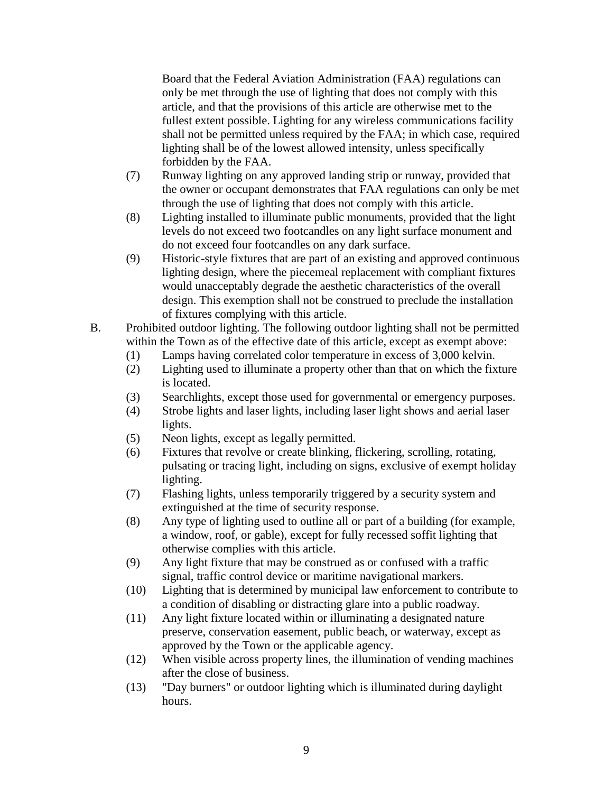Board that the Federal Aviation Administration (FAA) regulations can only be met through the use of lighting that does not comply with this article, and that the provisions of this article are otherwise met to the fullest extent possible. Lighting for any wireless communications facility shall not be permitted unless required by the FAA; in which case, required lighting shall be of the lowest allowed intensity, unless specifically forbidden by the FAA.

- (7) Runway lighting on any approved landing strip or runway, provided that the owner or occupant demonstrates that FAA regulations can only be met through the use of lighting that does not comply with this article.
- (8) Lighting installed to illuminate public monuments, provided that the light levels do not exceed two footcandles on any light surface monument and do not exceed four footcandles on any dark surface.
- (9) Historic-style fixtures that are part of an existing and approved continuous lighting design, where the piecemeal replacement with compliant fixtures would unacceptably degrade the aesthetic characteristics of the overall design. This exemption shall not be construed to preclude the installation of fixtures complying with this article.
- B. Prohibited outdoor lighting. The following outdoor lighting shall not be permitted within the Town as of the effective date of this article, except as exempt above:
	- (1) Lamps having correlated color temperature in excess of 3,000 kelvin.
	- (2) Lighting used to illuminate a property other than that on which the fixture is located.
	- (3) Searchlights, except those used for governmental or emergency purposes.
	- (4) Strobe lights and laser lights, including laser light shows and aerial laser lights.
	- (5) Neon lights, except as legally permitted.
	- (6) Fixtures that revolve or create blinking, flickering, scrolling, rotating, pulsating or tracing light, including on signs, exclusive of exempt holiday lighting.
	- (7) Flashing lights, unless temporarily triggered by a security system and extinguished at the time of security response.
	- (8) Any type of lighting used to outline all or part of a building (for example, a window, roof, or gable), except for fully recessed soffit lighting that otherwise complies with this article.
	- (9) Any light fixture that may be construed as or confused with a traffic signal, traffic control device or maritime navigational markers.
	- (10) Lighting that is determined by municipal law enforcement to contribute to a condition of disabling or distracting glare into a public roadway.
	- (11) Any light fixture located within or illuminating a designated nature preserve, conservation easement, public beach, or waterway, except as approved by the Town or the applicable agency.
	- (12) When visible across property lines, the illumination of vending machines after the close of business.
	- (13) "Day burners" or outdoor lighting which is illuminated during daylight hours.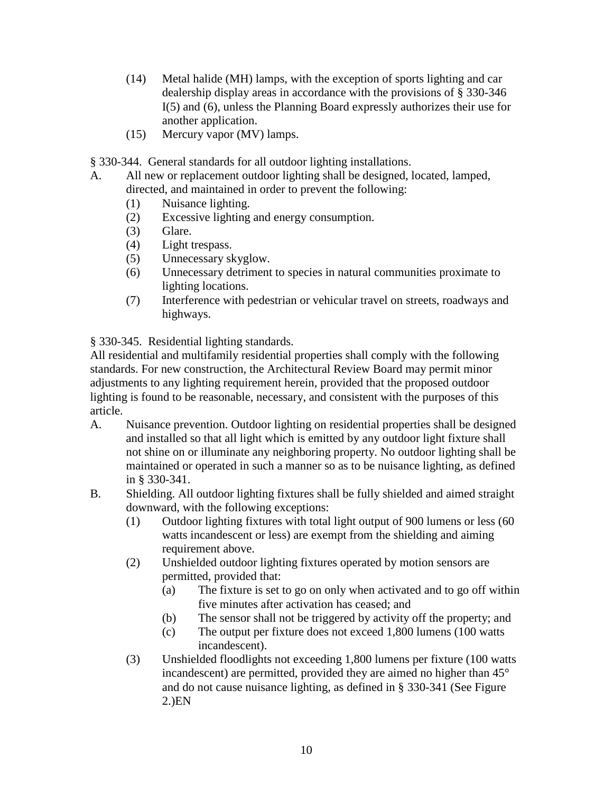- (14) Metal halide (MH) lamps, with the exception of sports lighting and car dealership display areas in accordance with the provisions of § 330-346 I(5) and (6), unless the Planning Board expressly authorizes their use for another application.
- (15) Mercury vapor (MV) lamps.
- § 330-344. General standards for all outdoor lighting installations.
- A. All new or replacement outdoor lighting shall be designed, located, lamped, directed, and maintained in order to prevent the following:
	- (1) Nuisance lighting.
	- (2) Excessive lighting and energy consumption.
	- (3) Glare.
	- (4) Light trespass.
	- (5) Unnecessary skyglow.
	- (6) Unnecessary detriment to species in natural communities proximate to lighting locations.
	- (7) Interference with pedestrian or vehicular travel on streets, roadways and highways.

§ 330-345. Residential lighting standards.

All residential and multifamily residential properties shall comply with the following standards. For new construction, the Architectural Review Board may permit minor adjustments to any lighting requirement herein, provided that the proposed outdoor lighting is found to be reasonable, necessary, and consistent with the purposes of this article.

- A. Nuisance prevention. Outdoor lighting on residential properties shall be designed and installed so that all light which is emitted by any outdoor light fixture shall not shine on or illuminate any neighboring property. No outdoor lighting shall be maintained or operated in such a manner so as to be nuisance lighting, as defined in § 330-341.
- B. Shielding. All outdoor lighting fixtures shall be fully shielded and aimed straight downward, with the following exceptions:
	- (1) Outdoor lighting fixtures with total light output of 900 lumens or less (60 watts incandescent or less) are exempt from the shielding and aiming requirement above.
	- (2) Unshielded outdoor lighting fixtures operated by motion sensors are permitted, provided that:
		- (a) The fixture is set to go on only when activated and to go off within five minutes after activation has ceased; and
		- (b) The sensor shall not be triggered by activity off the property; and
		- (c) The output per fixture does not exceed 1,800 lumens (100 watts incandescent).
	- (3) Unshielded floodlights not exceeding 1,800 lumens per fixture (100 watts incandescent) are permitted, provided they are aimed no higher than 45° and do not cause nuisance lighting, as defined in § 330-341 (See Figure 2.)EN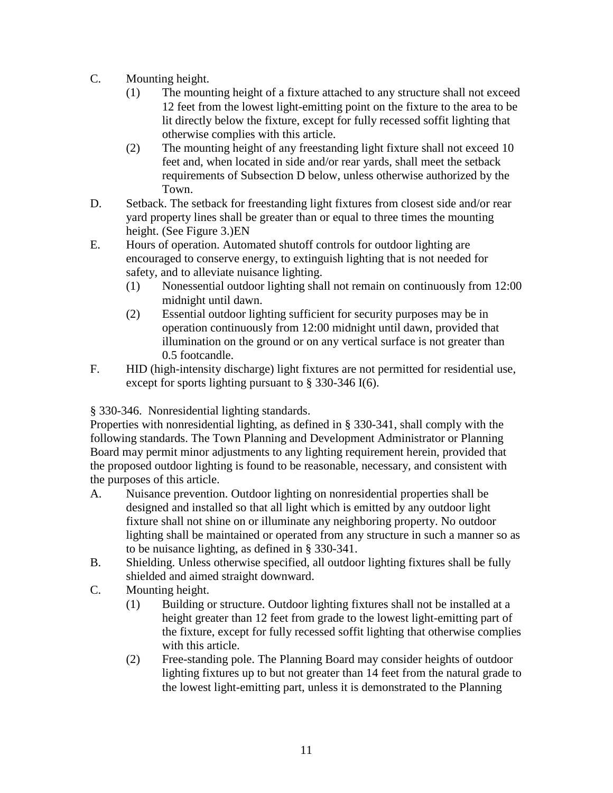- C. Mounting height.
	- (1) The mounting height of a fixture attached to any structure shall not exceed 12 feet from the lowest light-emitting point on the fixture to the area to be lit directly below the fixture, except for fully recessed soffit lighting that otherwise complies with this article.
	- (2) The mounting height of any freestanding light fixture shall not exceed 10 feet and, when located in side and/or rear yards, shall meet the setback requirements of Subsection D below, unless otherwise authorized by the Town.
- D. Setback. The setback for freestanding light fixtures from closest side and/or rear yard property lines shall be greater than or equal to three times the mounting height. (See Figure 3.)EN
- E. Hours of operation. Automated shutoff controls for outdoor lighting are encouraged to conserve energy, to extinguish lighting that is not needed for safety, and to alleviate nuisance lighting.
	- (1) Nonessential outdoor lighting shall not remain on continuously from 12:00 midnight until dawn.
	- (2) Essential outdoor lighting sufficient for security purposes may be in operation continuously from 12:00 midnight until dawn, provided that illumination on the ground or on any vertical surface is not greater than 0.5 footcandle.
- F. HID (high-intensity discharge) light fixtures are not permitted for residential use, except for sports lighting pursuant to § 330-346 I(6).

§ 330-346. Nonresidential lighting standards.

Properties with nonresidential lighting, as defined in § 330-341, shall comply with the following standards. The Town Planning and Development Administrator or Planning Board may permit minor adjustments to any lighting requirement herein, provided that the proposed outdoor lighting is found to be reasonable, necessary, and consistent with the purposes of this article.

- A. Nuisance prevention. Outdoor lighting on nonresidential properties shall be designed and installed so that all light which is emitted by any outdoor light fixture shall not shine on or illuminate any neighboring property. No outdoor lighting shall be maintained or operated from any structure in such a manner so as to be nuisance lighting, as defined in § 330-341.
- B. Shielding. Unless otherwise specified, all outdoor lighting fixtures shall be fully shielded and aimed straight downward.
- C. Mounting height.
	- (1) Building or structure. Outdoor lighting fixtures shall not be installed at a height greater than 12 feet from grade to the lowest light-emitting part of the fixture, except for fully recessed soffit lighting that otherwise complies with this article.
	- (2) Free-standing pole. The Planning Board may consider heights of outdoor lighting fixtures up to but not greater than 14 feet from the natural grade to the lowest light-emitting part, unless it is demonstrated to the Planning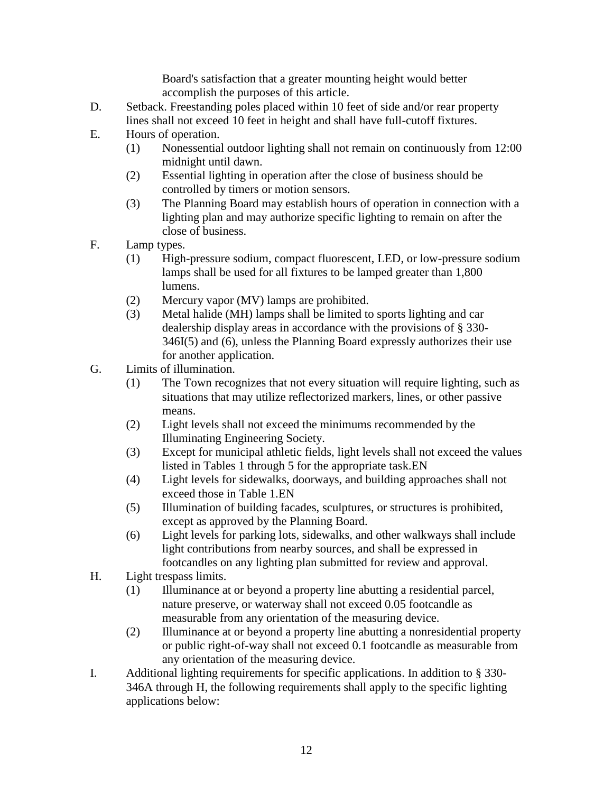Board's satisfaction that a greater mounting height would better accomplish the purposes of this article.

- D. Setback. Freestanding poles placed within 10 feet of side and/or rear property lines shall not exceed 10 feet in height and shall have full-cutoff fixtures.
- E. Hours of operation.
	- (1) Nonessential outdoor lighting shall not remain on continuously from 12:00 midnight until dawn.
	- (2) Essential lighting in operation after the close of business should be controlled by timers or motion sensors.
	- (3) The Planning Board may establish hours of operation in connection with a lighting plan and may authorize specific lighting to remain on after the close of business.
- F. Lamp types.
	- (1) High-pressure sodium, compact fluorescent, LED, or low-pressure sodium lamps shall be used for all fixtures to be lamped greater than 1,800 lumens.
	- (2) Mercury vapor (MV) lamps are prohibited.
	- (3) Metal halide (MH) lamps shall be limited to sports lighting and car dealership display areas in accordance with the provisions of § 330- 346I(5) and (6), unless the Planning Board expressly authorizes their use for another application.
- G. Limits of illumination.
	- (1) The Town recognizes that not every situation will require lighting, such as situations that may utilize reflectorized markers, lines, or other passive means.
	- (2) Light levels shall not exceed the minimums recommended by the Illuminating Engineering Society.
	- (3) Except for municipal athletic fields, light levels shall not exceed the values listed in Tables 1 through 5 for the appropriate task.EN
	- (4) Light levels for sidewalks, doorways, and building approaches shall not exceed those in Table 1.EN
	- (5) Illumination of building facades, sculptures, or structures is prohibited, except as approved by the Planning Board.
	- (6) Light levels for parking lots, sidewalks, and other walkways shall include light contributions from nearby sources, and shall be expressed in footcandles on any lighting plan submitted for review and approval.
- H. Light trespass limits.
	- (1) Illuminance at or beyond a property line abutting a residential parcel, nature preserve, or waterway shall not exceed 0.05 footcandle as measurable from any orientation of the measuring device.
	- (2) Illuminance at or beyond a property line abutting a nonresidential property or public right-of-way shall not exceed 0.1 footcandle as measurable from any orientation of the measuring device.
- I. Additional lighting requirements for specific applications. In addition to § 330- 346A through H, the following requirements shall apply to the specific lighting applications below: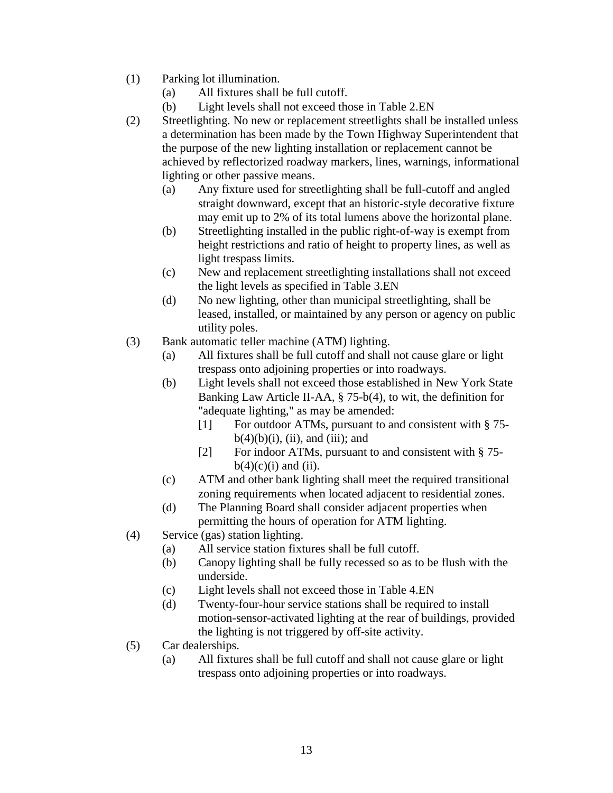- (1) Parking lot illumination.
	- (a) All fixtures shall be full cutoff.
	- (b) Light levels shall not exceed those in Table 2.EN
- (2) Streetlighting. No new or replacement streetlights shall be installed unless a determination has been made by the Town Highway Superintendent that the purpose of the new lighting installation or replacement cannot be achieved by reflectorized roadway markers, lines, warnings, informational lighting or other passive means.
	- (a) Any fixture used for streetlighting shall be full-cutoff and angled straight downward, except that an historic-style decorative fixture may emit up to 2% of its total lumens above the horizontal plane.
	- (b) Streetlighting installed in the public right-of-way is exempt from height restrictions and ratio of height to property lines, as well as light trespass limits.
	- (c) New and replacement streetlighting installations shall not exceed the light levels as specified in Table 3.EN
	- (d) No new lighting, other than municipal streetlighting, shall be leased, installed, or maintained by any person or agency on public utility poles.
- (3) Bank automatic teller machine (ATM) lighting.
	- (a) All fixtures shall be full cutoff and shall not cause glare or light trespass onto adjoining properties or into roadways.
	- (b) Light levels shall not exceed those established in New York State Banking Law Article II-AA, § 75-b(4), to wit, the definition for "adequate lighting," as may be amended:
		- [1] For outdoor ATMs, pursuant to and consistent with § 75 $b(4)(b)(i)$ , (ii), and (iii); and
		- [2] For indoor ATMs, pursuant to and consistent with § 75  $b(4)(c)(i)$  and (ii).
	- (c) ATM and other bank lighting shall meet the required transitional zoning requirements when located adjacent to residential zones.
	- (d) The Planning Board shall consider adjacent properties when permitting the hours of operation for ATM lighting.
- (4) Service (gas) station lighting.
	- (a) All service station fixtures shall be full cutoff.
	- (b) Canopy lighting shall be fully recessed so as to be flush with the underside.
	- (c) Light levels shall not exceed those in Table 4.EN
	- (d) Twenty-four-hour service stations shall be required to install motion-sensor-activated lighting at the rear of buildings, provided the lighting is not triggered by off-site activity.
- (5) Car dealerships.
	- (a) All fixtures shall be full cutoff and shall not cause glare or light trespass onto adjoining properties or into roadways.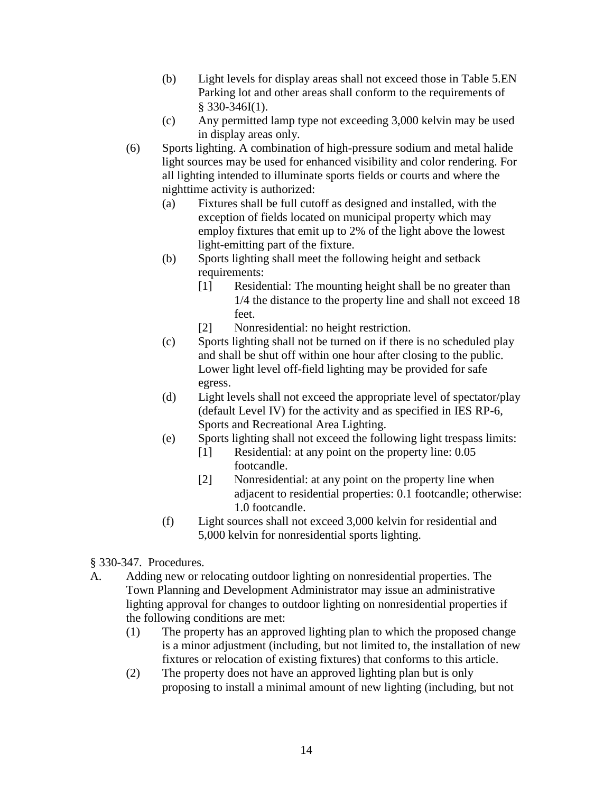- (b) Light levels for display areas shall not exceed those in Table 5.EN Parking lot and other areas shall conform to the requirements of § 330-346I(1).
- (c) Any permitted lamp type not exceeding 3,000 kelvin may be used in display areas only.
- (6) Sports lighting. A combination of high-pressure sodium and metal halide light sources may be used for enhanced visibility and color rendering. For all lighting intended to illuminate sports fields or courts and where the nighttime activity is authorized:
	- (a) Fixtures shall be full cutoff as designed and installed, with the exception of fields located on municipal property which may employ fixtures that emit up to 2% of the light above the lowest light-emitting part of the fixture.
	- (b) Sports lighting shall meet the following height and setback requirements:
		- [1] Residential: The mounting height shall be no greater than 1/4 the distance to the property line and shall not exceed 18 feet.
		- [2] Nonresidential: no height restriction.
	- (c) Sports lighting shall not be turned on if there is no scheduled play and shall be shut off within one hour after closing to the public. Lower light level off-field lighting may be provided for safe egress.
	- (d) Light levels shall not exceed the appropriate level of spectator/play (default Level IV) for the activity and as specified in IES RP-6, Sports and Recreational Area Lighting.
	- (e) Sports lighting shall not exceed the following light trespass limits:
		- [1] Residential: at any point on the property line: 0.05 footcandle.
		- [2] Nonresidential: at any point on the property line when adjacent to residential properties: 0.1 footcandle; otherwise: 1.0 footcandle.
	- (f) Light sources shall not exceed 3,000 kelvin for residential and 5,000 kelvin for nonresidential sports lighting.
- § 330-347. Procedures.
- A. Adding new or relocating outdoor lighting on nonresidential properties. The Town Planning and Development Administrator may issue an administrative lighting approval for changes to outdoor lighting on nonresidential properties if the following conditions are met:
	- (1) The property has an approved lighting plan to which the proposed change is a minor adjustment (including, but not limited to, the installation of new fixtures or relocation of existing fixtures) that conforms to this article.
	- (2) The property does not have an approved lighting plan but is only proposing to install a minimal amount of new lighting (including, but not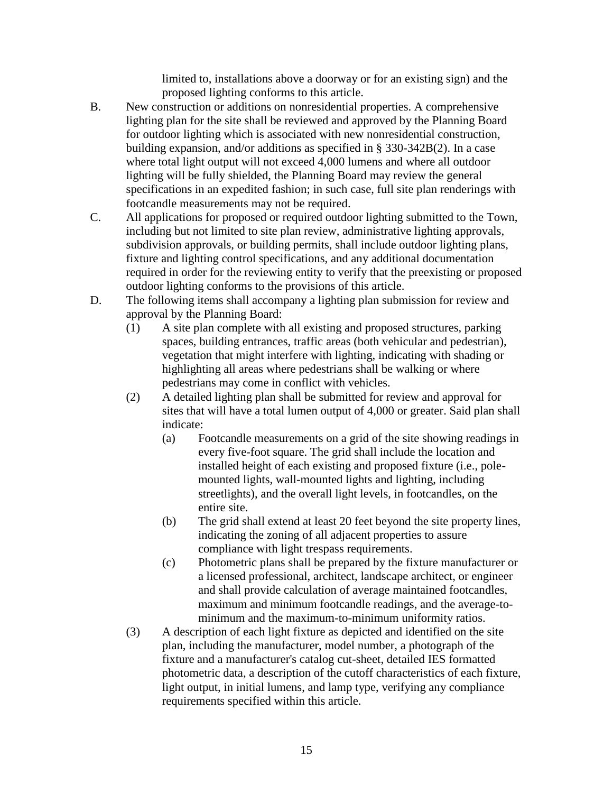limited to, installations above a doorway or for an existing sign) and the proposed lighting conforms to this article.

- B. New construction or additions on nonresidential properties. A comprehensive lighting plan for the site shall be reviewed and approved by the Planning Board for outdoor lighting which is associated with new nonresidential construction, building expansion, and/or additions as specified in § 330-342B(2). In a case where total light output will not exceed 4,000 lumens and where all outdoor lighting will be fully shielded, the Planning Board may review the general specifications in an expedited fashion; in such case, full site plan renderings with footcandle measurements may not be required.
- C. All applications for proposed or required outdoor lighting submitted to the Town, including but not limited to site plan review, administrative lighting approvals, subdivision approvals, or building permits, shall include outdoor lighting plans, fixture and lighting control specifications, and any additional documentation required in order for the reviewing entity to verify that the preexisting or proposed outdoor lighting conforms to the provisions of this article.
- D. The following items shall accompany a lighting plan submission for review and approval by the Planning Board:
	- (1) A site plan complete with all existing and proposed structures, parking spaces, building entrances, traffic areas (both vehicular and pedestrian), vegetation that might interfere with lighting, indicating with shading or highlighting all areas where pedestrians shall be walking or where pedestrians may come in conflict with vehicles.
	- (2) A detailed lighting plan shall be submitted for review and approval for sites that will have a total lumen output of 4,000 or greater. Said plan shall indicate:
		- (a) Footcandle measurements on a grid of the site showing readings in every five-foot square. The grid shall include the location and installed height of each existing and proposed fixture (i.e., polemounted lights, wall-mounted lights and lighting, including streetlights), and the overall light levels, in footcandles, on the entire site.
		- (b) The grid shall extend at least 20 feet beyond the site property lines, indicating the zoning of all adjacent properties to assure compliance with light trespass requirements.
		- (c) Photometric plans shall be prepared by the fixture manufacturer or a licensed professional, architect, landscape architect, or engineer and shall provide calculation of average maintained footcandles, maximum and minimum footcandle readings, and the average-tominimum and the maximum-to-minimum uniformity ratios.
	- (3) A description of each light fixture as depicted and identified on the site plan, including the manufacturer, model number, a photograph of the fixture and a manufacturer's catalog cut-sheet, detailed IES formatted photometric data, a description of the cutoff characteristics of each fixture, light output, in initial lumens, and lamp type, verifying any compliance requirements specified within this article.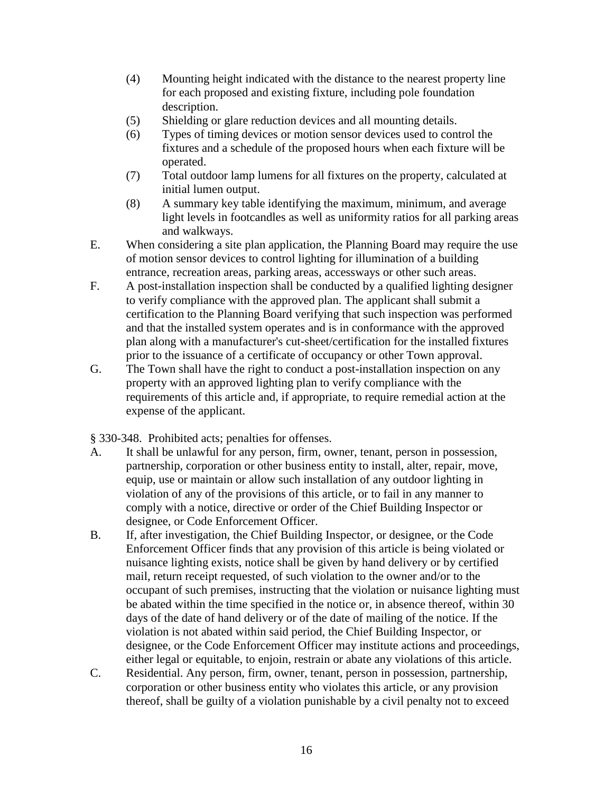- (4) Mounting height indicated with the distance to the nearest property line for each proposed and existing fixture, including pole foundation description.
- (5) Shielding or glare reduction devices and all mounting details.
- (6) Types of timing devices or motion sensor devices used to control the fixtures and a schedule of the proposed hours when each fixture will be operated.
- (7) Total outdoor lamp lumens for all fixtures on the property, calculated at initial lumen output.
- (8) A summary key table identifying the maximum, minimum, and average light levels in footcandles as well as uniformity ratios for all parking areas and walkways.
- E. When considering a site plan application, the Planning Board may require the use of motion sensor devices to control lighting for illumination of a building entrance, recreation areas, parking areas, accessways or other such areas.
- F. A post-installation inspection shall be conducted by a qualified lighting designer to verify compliance with the approved plan. The applicant shall submit a certification to the Planning Board verifying that such inspection was performed and that the installed system operates and is in conformance with the approved plan along with a manufacturer's cut-sheet/certification for the installed fixtures prior to the issuance of a certificate of occupancy or other Town approval.
- G. The Town shall have the right to conduct a post-installation inspection on any property with an approved lighting plan to verify compliance with the requirements of this article and, if appropriate, to require remedial action at the expense of the applicant.

§ 330-348. Prohibited acts; penalties for offenses.

- A. It shall be unlawful for any person, firm, owner, tenant, person in possession, partnership, corporation or other business entity to install, alter, repair, move, equip, use or maintain or allow such installation of any outdoor lighting in violation of any of the provisions of this article, or to fail in any manner to comply with a notice, directive or order of the Chief Building Inspector or designee, or Code Enforcement Officer.
- B. If, after investigation, the Chief Building Inspector, or designee, or the Code Enforcement Officer finds that any provision of this article is being violated or nuisance lighting exists, notice shall be given by hand delivery or by certified mail, return receipt requested, of such violation to the owner and/or to the occupant of such premises, instructing that the violation or nuisance lighting must be abated within the time specified in the notice or, in absence thereof, within 30 days of the date of hand delivery or of the date of mailing of the notice. If the violation is not abated within said period, the Chief Building Inspector, or designee, or the Code Enforcement Officer may institute actions and proceedings, either legal or equitable, to enjoin, restrain or abate any violations of this article.
- C. Residential. Any person, firm, owner, tenant, person in possession, partnership, corporation or other business entity who violates this article, or any provision thereof, shall be guilty of a violation punishable by a civil penalty not to exceed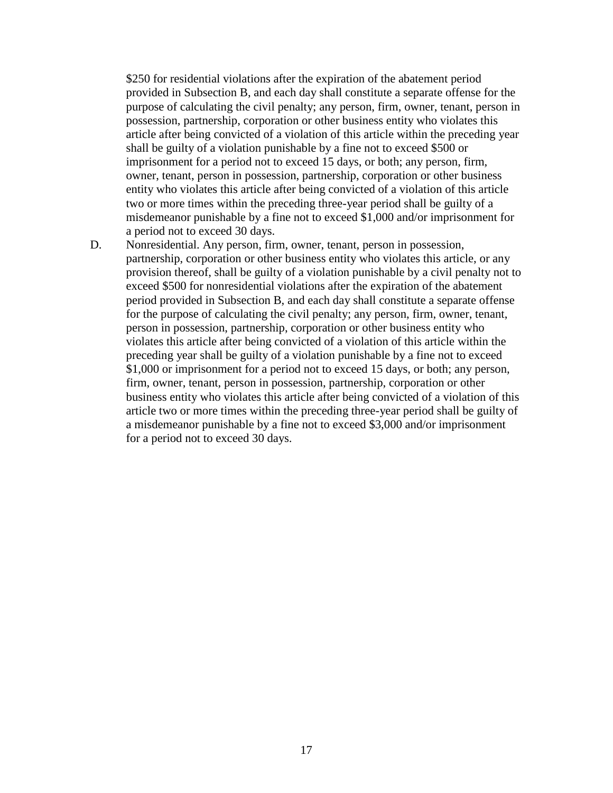\$250 for residential violations after the expiration of the abatement period provided in Subsection B, and each day shall constitute a separate offense for the purpose of calculating the civil penalty; any person, firm, owner, tenant, person in possession, partnership, corporation or other business entity who violates this article after being convicted of a violation of this article within the preceding year shall be guilty of a violation punishable by a fine not to exceed \$500 or imprisonment for a period not to exceed 15 days, or both; any person, firm, owner, tenant, person in possession, partnership, corporation or other business entity who violates this article after being convicted of a violation of this article two or more times within the preceding three-year period shall be guilty of a misdemeanor punishable by a fine not to exceed \$1,000 and/or imprisonment for a period not to exceed 30 days.

D. Nonresidential. Any person, firm, owner, tenant, person in possession, partnership, corporation or other business entity who violates this article, or any provision thereof, shall be guilty of a violation punishable by a civil penalty not to exceed \$500 for nonresidential violations after the expiration of the abatement period provided in Subsection B, and each day shall constitute a separate offense for the purpose of calculating the civil penalty; any person, firm, owner, tenant, person in possession, partnership, corporation or other business entity who violates this article after being convicted of a violation of this article within the preceding year shall be guilty of a violation punishable by a fine not to exceed \$1,000 or imprisonment for a period not to exceed 15 days, or both; any person, firm, owner, tenant, person in possession, partnership, corporation or other business entity who violates this article after being convicted of a violation of this article two or more times within the preceding three-year period shall be guilty of a misdemeanor punishable by a fine not to exceed \$3,000 and/or imprisonment for a period not to exceed 30 days.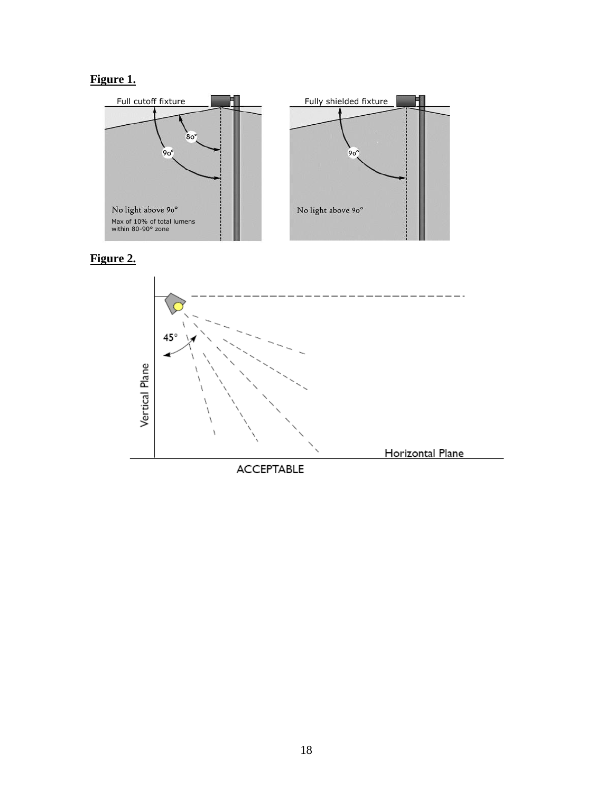## **Figure 1.**

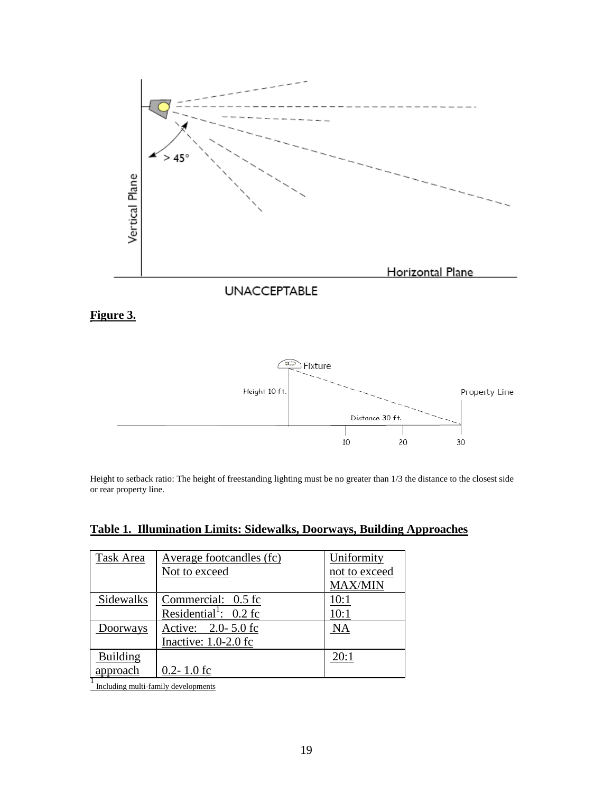



Height to setback ratio: The height of freestanding lighting must be no greater than 1/3 the distance to the closest side or rear property line.

| Table 1. Illumination Limits: Sidewalks, Doorways, Building Approaches |
|------------------------------------------------------------------------|
|------------------------------------------------------------------------|

| Task Area       | Average footcandles (fc)            | Uniformity     |
|-----------------|-------------------------------------|----------------|
|                 | Not to exceed                       | not to exceed  |
|                 |                                     | <b>MAX/MIN</b> |
| Sidewalks       | Commercial: 0.5 fc                  | 10:1           |
|                 | Residential <sup>1</sup> : $0.2$ fc | 10:1           |
| Doorways        | Active: 2.0-5.0 fc                  | <b>NA</b>      |
|                 | Inactive: $1.0-2.0$ fc              |                |
| <b>Building</b> |                                     | 20:1           |
| approach        | $0.2 - 1.0$ fc                      |                |

<sup>1</sup><br>Including multi-family developments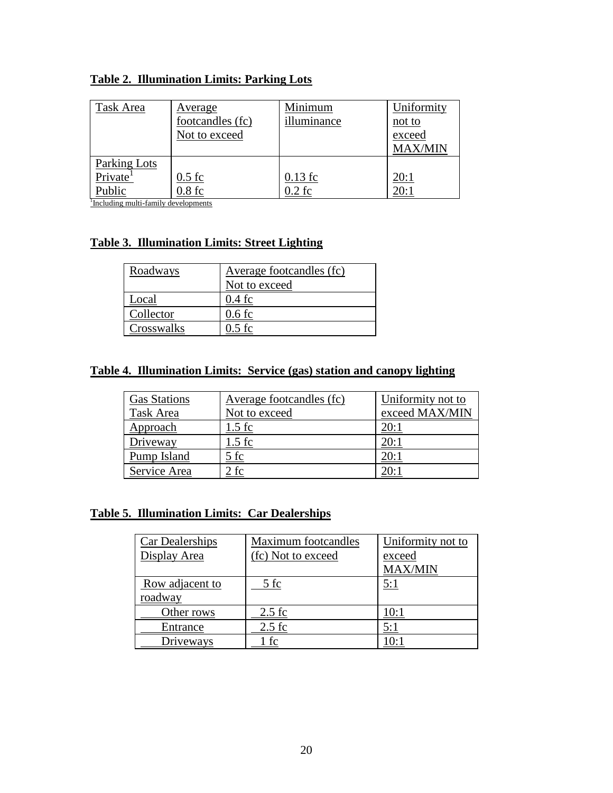### **Table 2. Illumination Limits: Parking Lots**

| Task Area            | Average          | Minimum     | Uniformity     |
|----------------------|------------------|-------------|----------------|
|                      | footcandles (fc) | illuminance | not to         |
|                      | Not to exceed    |             | exceed         |
|                      |                  |             | <b>MAX/MIN</b> |
| Parking Lots         |                  |             |                |
| Private <sup>1</sup> | $0.5$ fc         | $0.13$ fc   | 20:1           |
| Public               | $0.8$ fc         | 0.2 fc      | 20:1           |

1 Including multi-family developments

#### **Table 3. Illumination Limits: Street Lighting**

| Roadways   | Average footcandles (fc) |  |
|------------|--------------------------|--|
|            | Not to exceed            |  |
| Local      | 0.4 fc                   |  |
| Collector  | 0.6 fc                   |  |
| Crosswalks | ). 5 fc                  |  |

#### **Table 4. Illumination Limits: Service (gas) station and canopy lighting**

| <b>Gas Stations</b> | Average footcandles (fc) | Uniformity not to |
|---------------------|--------------------------|-------------------|
| Task Area           | Not to exceed            | exceed MAX/MIN    |
| Approach            | 1.5 fc                   | 20:1              |
| Driveway            | $.5$ fc                  | 20:1              |
| Pump Island         | 5 fc                     | 20:1              |
| Service Area        | ? fc                     | 20:1              |

#### **Table 5. Illumination Limits: Car Dealerships**

| <b>Car Dealerships</b> | Maximum footcandles | Uniformity not to |
|------------------------|---------------------|-------------------|
| Display Area           | (fc) Not to exceed  | exceed            |
|                        |                     | <b>MAX/MIN</b>    |
| Row adjacent to        | 5 fc                | 5:1               |
| roadway                |                     |                   |
| Other rows             | $2.5$ fc            | 10:1              |
| Entrance               | $2.5$ fc            | 5:1               |
| Driveways              | l fc                | 10:1              |